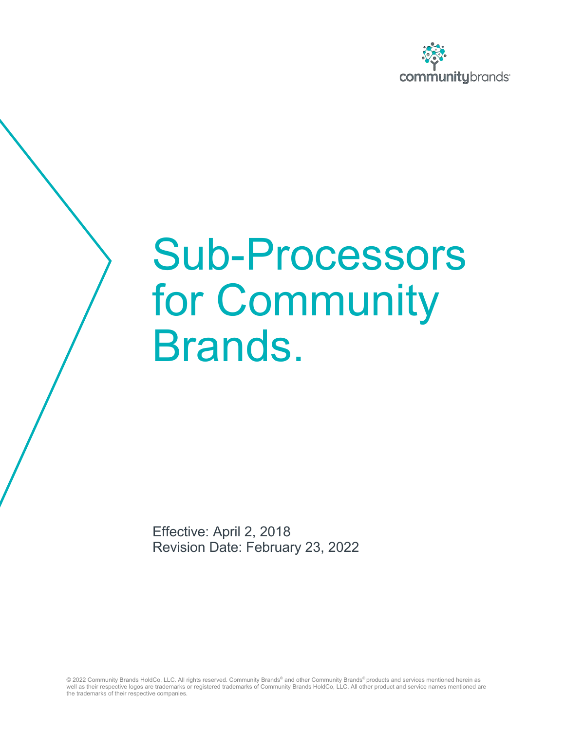

## Sub-Processors for Community Brands.

Effective: April 2, 2018 Revision Date: February 23, 2022

© 2022 Community Brands HoldCo, LLC. All rights reserved. Community Brands® and other Community Brands® products and services mentioned herein as well as their respective logos are trademarks or registered trademarks of Community Brands HoldCo, LLC. All other product and service names mentioned are the trademarks of their respective companies.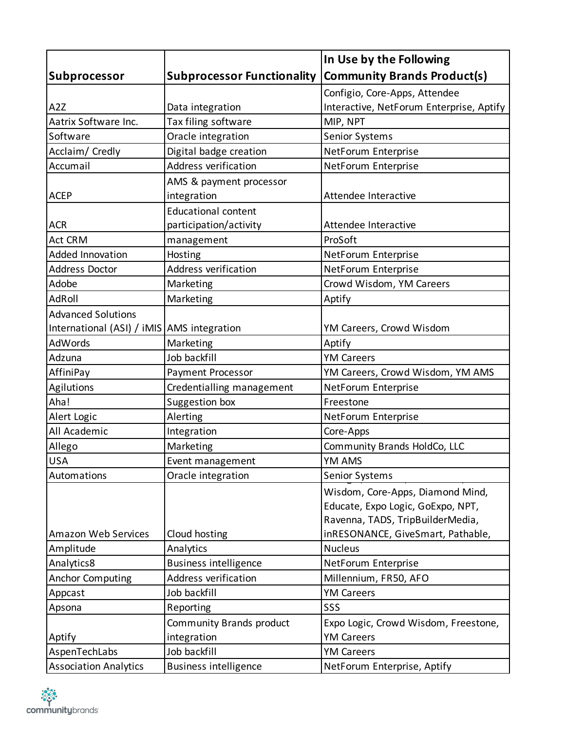|                                            |                                   | In Use by the Following                  |
|--------------------------------------------|-----------------------------------|------------------------------------------|
| Subprocessor                               | <b>Subprocessor Functionality</b> | <b>Community Brands Product(s)</b>       |
|                                            |                                   | Configio, Core-Apps, Attendee            |
| A <sub>2</sub> Z                           | Data integration                  | Interactive, NetForum Enterprise, Aptify |
| Aatrix Software Inc.                       | Tax filing software               | MIP, NPT                                 |
| Software                                   | Oracle integration                | <b>Senior Systems</b>                    |
| Acclaim/ Credly                            | Digital badge creation            | NetForum Enterprise                      |
| Accumail                                   | Address verification              | NetForum Enterprise                      |
|                                            | AMS & payment processor           |                                          |
| <b>ACEP</b>                                | integration                       | Attendee Interactive                     |
|                                            | <b>Educational content</b>        |                                          |
| <b>ACR</b>                                 | participation/activity            | Attendee Interactive                     |
| <b>Act CRM</b>                             | management                        | ProSoft                                  |
| <b>Added Innovation</b>                    | Hosting                           | NetForum Enterprise                      |
| Address Doctor                             | Address verification              | NetForum Enterprise                      |
| Adobe                                      | Marketing                         | Crowd Wisdom, YM Careers                 |
| AdRoll                                     | Marketing                         | Aptify                                   |
| <b>Advanced Solutions</b>                  |                                   |                                          |
| International (ASI) / iMIS AMS integration |                                   | YM Careers, Crowd Wisdom                 |
| <b>AdWords</b>                             | Marketing                         | Aptify                                   |
| Adzuna                                     | Job backfill                      | <b>YM Careers</b>                        |
| AffiniPay                                  | <b>Payment Processor</b>          | YM Careers, Crowd Wisdom, YM AMS         |
| Agilutions                                 | Credentialling management         | NetForum Enterprise                      |
| Aha!                                       | Suggestion box                    | Freestone                                |
| Alert Logic                                | Alerting                          | NetForum Enterprise                      |
| All Academic                               | Integration                       | Core-Apps                                |
| Allego                                     | Marketing                         | Community Brands HoldCo, LLC             |
| <b>USA</b>                                 | Event management                  | YM AMS                                   |
| Automations                                | Oracle integration                | Senior Systems                           |
|                                            |                                   | Wisdom, Core-Apps, Diamond Mind,         |
|                                            |                                   | Educate, Expo Logic, GoExpo, NPT,        |
|                                            |                                   | Ravenna, TADS, TripBuilderMedia,         |
| <b>Amazon Web Services</b>                 | Cloud hosting                     | inRESONANCE, GiveSmart, Pathable,        |
| Amplitude                                  | Analytics                         | <b>Nucleus</b>                           |
| Analytics8                                 | <b>Business intelligence</b>      | NetForum Enterprise                      |
| <b>Anchor Computing</b>                    | Address verification              | Millennium, FR50, AFO                    |
| Appcast                                    | Job backfill                      | <b>YM Careers</b>                        |
| Apsona                                     | Reporting                         | SSS                                      |
|                                            | Community Brands product          | Expo Logic, Crowd Wisdom, Freestone,     |
| Aptify                                     | integration                       | <b>YM Careers</b>                        |
| AspenTechLabs                              | Job backfill                      | <b>YM Careers</b>                        |
| <b>Association Analytics</b>               | <b>Business intelligence</b>      | NetForum Enterprise, Aptify              |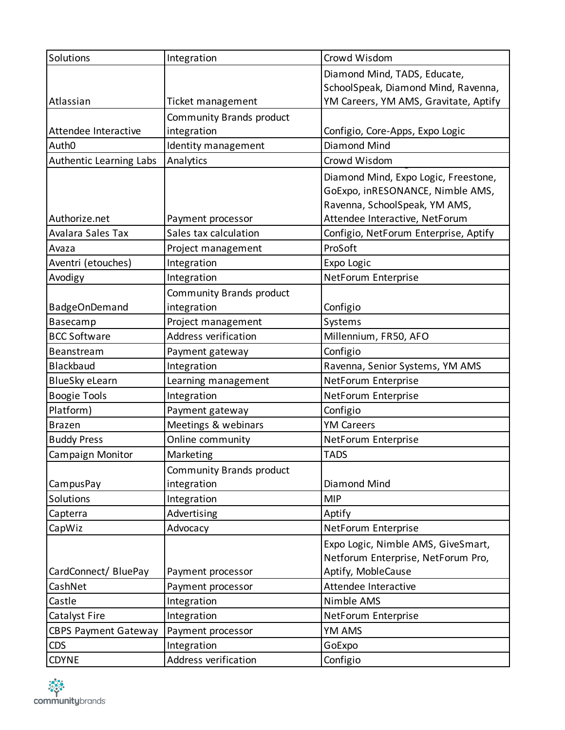| Solutions                   | Integration              | Crowd Wisdom                          |
|-----------------------------|--------------------------|---------------------------------------|
|                             |                          | Diamond Mind, TADS, Educate,          |
|                             |                          | SchoolSpeak, Diamond Mind, Ravenna,   |
| Atlassian                   | Ticket management        | YM Careers, YM AMS, Gravitate, Aptify |
|                             | Community Brands product |                                       |
| Attendee Interactive        | integration              | Configio, Core-Apps, Expo Logic       |
| Auth <sub>0</sub>           | Identity management      | Diamond Mind                          |
| Authentic Learning Labs     | Analytics                | Crowd Wisdom                          |
|                             |                          | Diamond Mind, Expo Logic, Freestone,  |
|                             |                          | GoExpo, inRESONANCE, Nimble AMS,      |
|                             |                          | Ravenna, SchoolSpeak, YM AMS,         |
| Authorize.net               | Payment processor        | Attendee Interactive, NetForum        |
| Avalara Sales Tax           | Sales tax calculation    | Configio, NetForum Enterprise, Aptify |
| Avaza                       | Project management       | ProSoft                               |
| Aventri (etouches)          | Integration              | Expo Logic                            |
| Avodigy                     | Integration              | NetForum Enterprise                   |
|                             | Community Brands product |                                       |
| <b>BadgeOnDemand</b>        | integration              | Configio                              |
| Basecamp                    | Project management       | Systems                               |
| <b>BCC Software</b>         | Address verification     | Millennium, FR50, AFO                 |
| Beanstream                  | Payment gateway          | Configio                              |
| <b>Blackbaud</b>            | Integration              | Ravenna, Senior Systems, YM AMS       |
| <b>BlueSky eLearn</b>       | Learning management      | NetForum Enterprise                   |
| <b>Boogie Tools</b>         | Integration              | NetForum Enterprise                   |
| Platform)                   | Payment gateway          | Configio                              |
| <b>Brazen</b>               | Meetings & webinars      | <b>YM Careers</b>                     |
| <b>Buddy Press</b>          | Online community         | NetForum Enterprise                   |
| Campaign Monitor            | Marketing                | <b>TADS</b>                           |
|                             | Community Brands product |                                       |
| Campus Pay                  | integration              | Diamond Mind                          |
| Solutions                   | Integration              | <b>MIP</b>                            |
| Capterra                    | Advertising              | Aptify                                |
| CapWiz                      | Advocacy                 | NetForum Enterprise                   |
|                             |                          | Expo Logic, Nimble AMS, GiveSmart,    |
|                             |                          | Netforum Enterprise, NetForum Pro,    |
| CardConnect/BluePay         | Payment processor        | Aptify, MobleCause                    |
| CashNet                     | Payment processor        | Attendee Interactive                  |
| Castle                      | Integration              | Nimble AMS                            |
| Catalyst Fire               | Integration              | NetForum Enterprise                   |
| <b>CBPS Payment Gateway</b> | Payment processor        | YM AMS                                |
| <b>CDS</b>                  | Integration              | GoExpo                                |
| <b>CDYNE</b>                | Address verification     | Configio                              |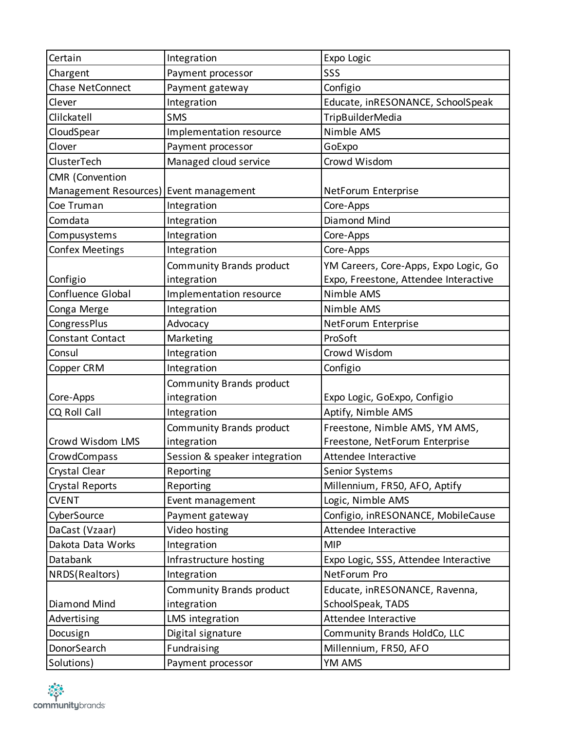| Certain                                | Integration                   | Expo Logic                            |
|----------------------------------------|-------------------------------|---------------------------------------|
| Chargent                               | Payment processor             | SSS                                   |
| Chase NetConnect                       | Payment gateway               | Configio                              |
| Clever                                 | Integration                   | Educate, inRESONANCE, SchoolSpeak     |
| Clilckatell                            | <b>SMS</b>                    | TripBuilderMedia                      |
| CloudSpear                             | Implementation resource       | Nimble AMS                            |
| Clover                                 | Payment processor             | GoExpo                                |
| ClusterTech                            | Managed cloud service         | Crowd Wisdom                          |
| <b>CMR</b> (Convention                 |                               |                                       |
| Management Resources) Event management |                               | NetForum Enterprise                   |
| Coe Truman                             | Integration                   | Core-Apps                             |
| Comdata                                | Integration                   | Diamond Mind                          |
| Compusystems                           | Integration                   | Core-Apps                             |
| <b>Confex Meetings</b>                 | Integration                   | Core-Apps                             |
|                                        | Community Brands product      | YM Careers, Core-Apps, Expo Logic, Go |
| Configio                               | integration                   | Expo, Freestone, Attendee Interactive |
| Confluence Global                      | Implementation resource       | Nimble AMS                            |
| Conga Merge                            | Integration                   | Nimble AMS                            |
| CongressPlus                           | Advocacy                      | NetForum Enterprise                   |
| Constant Contact                       | Marketing                     | ProSoft                               |
| Consul                                 | Integration                   | Crowd Wisdom                          |
| Copper CRM                             | Integration                   | Configio                              |
|                                        | Community Brands product      |                                       |
| Core-Apps                              | integration                   | Expo Logic, GoExpo, Configio          |
| CQ Roll Call                           | Integration                   | Aptify, Nimble AMS                    |
|                                        | Community Brands product      | Freestone, Nimble AMS, YM AMS,        |
| Crowd Wisdom LMS                       | integration                   | Freestone, NetForum Enterprise        |
| CrowdCompass                           | Session & speaker integration | Attendee Interactive                  |
| Crystal Clear                          | Reporting                     | <b>Senior Systems</b>                 |
| Crystal Reports                        | Reporting                     | Millennium, FR50, AFO, Aptify         |
| <b>CVENT</b>                           | Event management              | Logic, Nimble AMS                     |
| CyberSource                            | Payment gateway               | Configio, inRESONANCE, MobileCause    |
| DaCast (Vzaar)                         | Video hosting                 | Attendee Interactive                  |
| Dakota Data Works                      | Integration                   | <b>MIP</b>                            |
| Databank                               | Infrastructure hosting        | Expo Logic, SSS, Attendee Interactive |
| NRDS(Realtors)                         | Integration                   | NetForum Pro                          |
|                                        | Community Brands product      | Educate, inRESONANCE, Ravenna,        |
| Diamond Mind                           | integration                   | SchoolSpeak, TADS                     |
| Advertising                            | LMS integration               | Attendee Interactive                  |
| Docusign                               | Digital signature             | Community Brands HoldCo, LLC          |
| DonorSearch                            | Fundraising                   | Millennium, FR50, AFO                 |
| Solutions)                             | Payment processor             | YM AMS                                |

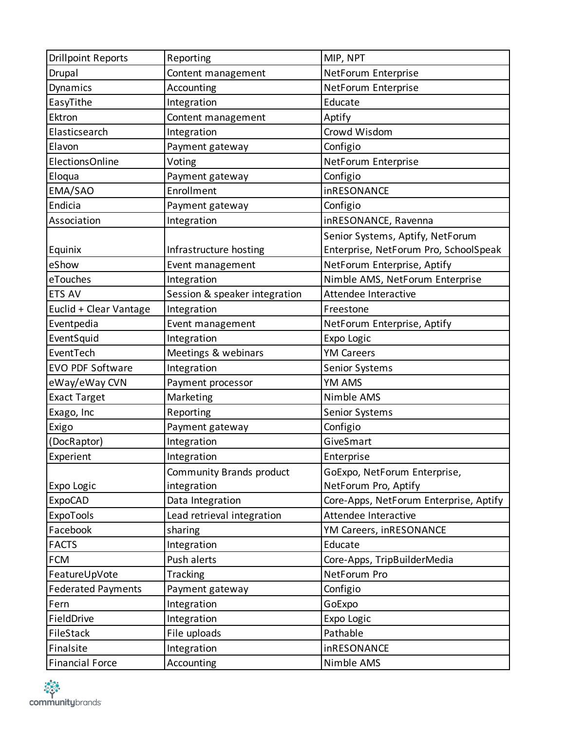| <b>Drillpoint Reports</b> | Reporting                     | MIP, NPT                               |
|---------------------------|-------------------------------|----------------------------------------|
| Drupal                    | Content management            | NetForum Enterprise                    |
| Dynamics                  | Accounting                    | NetForum Enterprise                    |
| EasyTithe                 | Integration                   | Educate                                |
| Ektron                    | Content management            | Aptify                                 |
| Elasticsearch             | Integration                   | Crowd Wisdom                           |
| Elavon                    | Payment gateway               | Configio                               |
| <b>ElectionsOnline</b>    | Voting                        | NetForum Enterprise                    |
| Eloqua                    | Payment gateway               | Configio                               |
| EMA/SAO                   | Enrollment                    | inRESONANCE                            |
| Endicia                   | Payment gateway               | Configio                               |
| Association               | Integration                   | inRESONANCE, Ravenna                   |
|                           |                               | Senior Systems, Aptify, NetForum       |
| Equinix                   | Infrastructure hosting        | Enterprise, NetForum Pro, SchoolSpeak  |
| eShow                     | Event management              | NetForum Enterprise, Aptify            |
| eTouches                  | Integration                   | Nimble AMS, NetForum Enterprise        |
| ETS AV                    | Session & speaker integration | Attendee Interactive                   |
| Euclid + Clear Vantage    | Integration                   | Freestone                              |
| Eventpedia                | Event management              | NetForum Enterprise, Aptify            |
| EventSquid                | Integration                   | Expo Logic                             |
| EventTech                 | Meetings & webinars           | <b>YM Careers</b>                      |
| EVO PDF Software          | Integration                   | Senior Systems                         |
| eWay/eWay CVN             | Payment processor             | YM AMS                                 |
| <b>Exact Target</b>       | Marketing                     | Nimble AMS                             |
| Exago, Inc                | Reporting                     | <b>Senior Systems</b>                  |
| Exigo                     | Payment gateway               | Configio                               |
| (DocRaptor)               | Integration                   | GiveSmart                              |
| Experient                 | Integration                   | Enterprise                             |
|                           | Community Brands product      | GoExpo, NetForum Enterprise,           |
| Expo Logic                | integration                   | NetForum Pro, Aptify                   |
| <b>ExpoCAD</b>            | Data Integration              | Core-Apps, NetForum Enterprise, Aptify |
| ExpoTools                 | Lead retrieval integration    | Attendee Interactive                   |
| Facebook                  | sharing                       | YM Careers, inRESONANCE                |
| <b>FACTS</b>              | Integration                   | Educate                                |
| <b>FCM</b>                | Push alerts                   | Core-Apps, TripBuilderMedia            |
| FeatureUpVote             | Tracking                      | NetForum Pro                           |
| <b>Federated Payments</b> | Payment gateway               | Configio                               |
| Fern                      | Integration                   | GoExpo                                 |
| FieldDrive                | Integration                   | Expo Logic                             |
| FileStack                 | File uploads                  | Pathable                               |
| Finalsite                 | Integration                   | inRESONANCE                            |
| <b>Financial Force</b>    | Accounting                    | Nimble AMS                             |

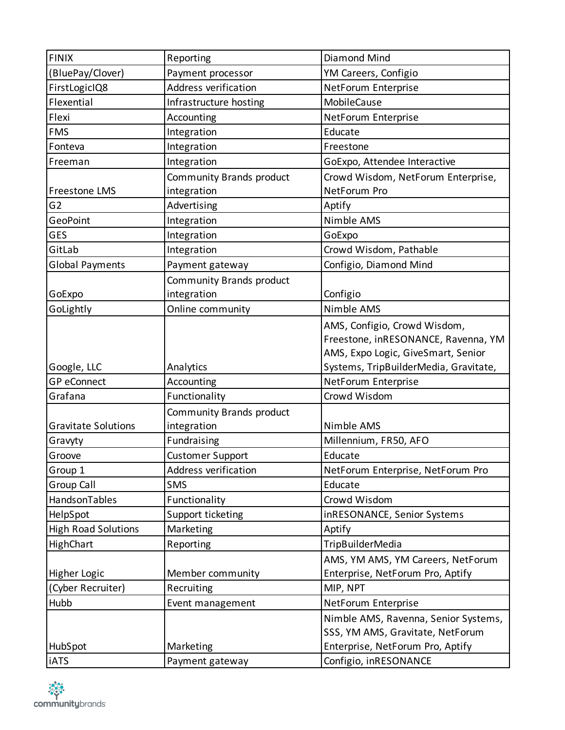| <b>FINIX</b>               | Reporting                    | Diamond Mind                                              |
|----------------------------|------------------------------|-----------------------------------------------------------|
| (BluePay/Clover)           | Payment processor            | YM Careers, Configio                                      |
| FirstLogicIQ8              | Address verification         | NetForum Enterprise                                       |
| Flexential                 | Infrastructure hosting       | MobileCause                                               |
| Flexi                      | Accounting                   | NetForum Enterprise                                       |
| <b>FMS</b>                 | Integration                  | Educate                                                   |
| Fonteva                    | Integration                  | Freestone                                                 |
| Freeman                    | Integration                  | GoExpo, Attendee Interactive                              |
|                            | Community Brands product     | Crowd Wisdom, NetForum Enterprise,                        |
| Freestone LMS              | integration                  | NetForum Pro                                              |
| G <sub>2</sub>             | Advertising                  | Aptify                                                    |
| GeoPoint                   | Integration                  | Nimble AMS                                                |
| GES                        | Integration                  | GoExpo                                                    |
| GitLab                     | Integration                  | Crowd Wisdom, Pathable                                    |
| <b>Global Payments</b>     | Payment gateway              | Configio, Diamond Mind                                    |
|                            | Community Brands product     |                                                           |
| GoExpo                     | integration                  | Configio                                                  |
| GoLightly                  | Online community             | Nimble AMS                                                |
|                            |                              | AMS, Configio, Crowd Wisdom,                              |
|                            |                              | Freestone, inRESONANCE, Ravenna, YM                       |
|                            |                              | AMS, Expo Logic, GiveSmart, Senior                        |
| Google, LLC                | Analytics                    | Systems, TripBuilderMedia, Gravitate,                     |
| <b>GP</b> eConnect         | Accounting                   | NetForum Enterprise                                       |
| Grafana                    | Functionality                | Crowd Wisdom                                              |
|                            |                              |                                                           |
|                            |                              |                                                           |
| <b>Gravitate Solutions</b> | Community Brands product     | Nimble AMS                                                |
|                            | integration                  |                                                           |
| Gravyty<br>Groove          | Fundraising                  | Millennium, FR50, AFO<br>Educate                          |
|                            | <b>Customer Support</b>      |                                                           |
| Group 1                    | Address verification         | NetForum Enterprise, NetForum Pro                         |
| Group Call                 | <b>SMS</b>                   | Educate                                                   |
| HandsonTables              | Functionality                | Crowd Wisdom                                              |
| HelpSpot                   | Support ticketing            | inRESONANCE, Senior Systems                               |
| <b>High Road Solutions</b> | Marketing                    | Aptify                                                    |
| HighChart                  | Reporting                    | <b>TripBuilderMedia</b>                                   |
|                            |                              | AMS, YM AMS, YM Careers, NetForum                         |
| Higher Logic               | Member community             | Enterprise, NetForum Pro, Aptify                          |
| (Cyber Recruiter)          | Recruiting                   | MIP, NPT                                                  |
| Hubb                       | Event management             | NetForum Enterprise                                       |
|                            |                              | Nimble AMS, Ravenna, Senior Systems,                      |
|                            |                              | SSS, YM AMS, Gravitate, NetForum                          |
| HubSpot<br><b>iATS</b>     | Marketing<br>Payment gateway | Enterprise, NetForum Pro, Aptify<br>Configio, inRESONANCE |

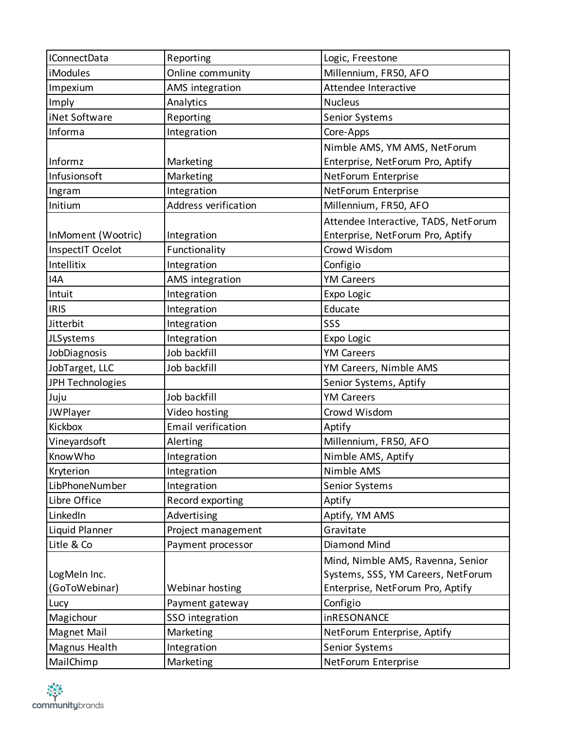| <b>IConnectData</b> | Reporting                   | Logic, Freestone                     |
|---------------------|-----------------------------|--------------------------------------|
| <b>iModules</b>     | Online community            | Millennium, FR50, AFO                |
| Impexium            | AMS integration             | Attendee Interactive                 |
| Imply               | Analytics                   | <b>Nucleus</b>                       |
| iNet Software       | Reporting                   | Senior Systems                       |
| Informa             | Integration                 | Core-Apps                            |
|                     |                             | Nimble AMS, YM AMS, NetForum         |
| Informz             | Marketing                   | Enterprise, NetForum Pro, Aptify     |
| Infusionsoft        | Marketing                   | NetForum Enterprise                  |
| Ingram              | Integration                 | NetForum Enterprise                  |
| Initium             | <b>Address verification</b> | Millennium, FR50, AFO                |
|                     |                             | Attendee Interactive, TADS, NetForum |
| InMoment (Wootric)  | Integration                 | Enterprise, NetForum Pro, Aptify     |
| InspectIT Ocelot    | Functionality               | Crowd Wisdom                         |
| Intellitix          | Integration                 | Configio                             |
| I4A                 | AMS integration             | <b>YM Careers</b>                    |
| Intuit              | Integration                 | Expo Logic                           |
| <b>IRIS</b>         | Integration                 | Educate                              |
| Jitterbit           | Integration                 | SSS                                  |
| JLSystems           | Integration                 | Expo Logic                           |
| JobDiagnosis        | Job backfill                | <b>YM Careers</b>                    |
| JobTarget, LLC      | Job backfill                | YM Careers, Nimble AMS               |
| JPH Technologies    |                             | Senior Systems, Aptify               |
| Juju                | Job backfill                | <b>YM Careers</b>                    |
| JWPlayer            | Video hosting               | Crowd Wisdom                         |
| Kickbox             | <b>Email verification</b>   | Aptify                               |
| Vineyardsoft        | Alerting                    | Millennium, FR50, AFO                |
| Know Who            | Integration                 | Nimble AMS, Aptify                   |
| Kryterion           | Integration                 | Nimble AMS                           |
| LibPhoneNumber      | Integration                 | Senior Systems                       |
| Libre Office        | Record exporting            | Aptify                               |
| LinkedIn            | Advertising                 | Aptify, YM AMS                       |
| Liquid Planner      | Project management          | Gravitate                            |
| Litle & Co          | Payment processor           | Diamond Mind                         |
|                     |                             | Mind, Nimble AMS, Ravenna, Senior    |
| LogMeIn Inc.        |                             | Systems, SSS, YM Careers, NetForum   |
| (GoToWebinar)       | Webinar hosting             | Enterprise, NetForum Pro, Aptify     |
| Lucy                | Payment gateway             | Configio                             |
| Magichour           | SSO integration             | inRESONANCE                          |
| Magnet Mail         | Marketing                   | NetForum Enterprise, Aptify          |
| Magnus Health       | Integration                 | <b>Senior Systems</b>                |
| MailChimp           | Marketing                   | NetForum Enterprise                  |

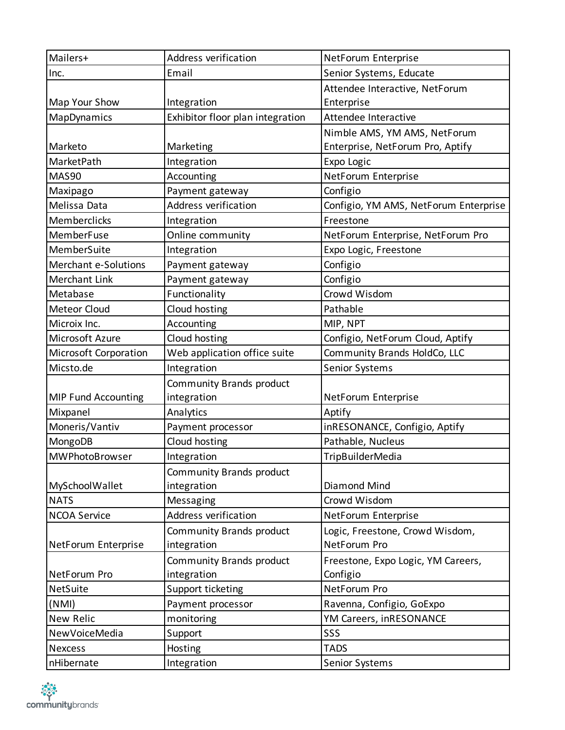| Mailers+                    | Address verification             | NetForum Enterprise                   |
|-----------------------------|----------------------------------|---------------------------------------|
| Inc.                        | Email                            | Senior Systems, Educate               |
|                             |                                  | Attendee Interactive, NetForum        |
| Map Your Show               | Integration                      | Enterprise                            |
| MapDynamics                 | Exhibitor floor plan integration | Attendee Interactive                  |
|                             |                                  | Nimble AMS, YM AMS, NetForum          |
| Marketo                     | Marketing                        | Enterprise, NetForum Pro, Aptify      |
| MarketPath                  | Integration                      | Expo Logic                            |
| <b>MAS90</b>                | Accounting                       | NetForum Enterprise                   |
| Maxipago                    | Payment gateway                  | Configio                              |
| Melissa Data                | Address verification             | Configio, YM AMS, NetForum Enterprise |
| Memberclicks                | Integration                      | Freestone                             |
| MemberFuse                  | Online community                 | NetForum Enterprise, NetForum Pro     |
| MemberSuite                 | Integration                      | Expo Logic, Freestone                 |
| <b>Merchant e-Solutions</b> | Payment gateway                  | Configio                              |
| <b>Merchant Link</b>        | Payment gateway                  | Configio                              |
| Metabase                    | Functionality                    | Crowd Wisdom                          |
| <b>Meteor Cloud</b>         | Cloud hosting                    | Pathable                              |
| Microix Inc.                | Accounting                       | MIP, NPT                              |
| Microsoft Azure             | Cloud hosting                    | Configio, NetForum Cloud, Aptify      |
| Microsoft Corporation       | Web application office suite     | Community Brands HoldCo, LLC          |
| Micsto.de                   | Integration                      | Senior Systems                        |
|                             | Community Brands product         |                                       |
| <b>MIP Fund Accounting</b>  | integration                      | NetForum Enterprise                   |
| Mixpanel                    | Analytics                        | Aptify                                |
| Moneris/Vantiv              | Payment processor                | inRESONANCE, Configio, Aptify         |
| MongoDB                     | Cloud hosting                    | Pathable, Nucleus                     |
| MWPhotoBrowser              | Integration                      | <b>TripBuilderMedia</b>               |
|                             | Community Brands product         |                                       |
| MySchoolWallet              | integration                      | Diamond Mind                          |
| <b>NATS</b>                 | Messaging                        | Crowd Wisdom                          |
| <b>NCOA Service</b>         | Address verification             | NetForum Enterprise                   |
|                             | Community Brands product         | Logic, Freestone, Crowd Wisdom,       |
| NetForum Enterprise         | integration                      | NetForum Pro                          |
|                             | Community Brands product         | Freestone, Expo Logic, YM Careers,    |
| NetForum Pro                | integration                      | Configio                              |
| NetSuite                    | Support ticketing                | NetForum Pro                          |
| (NMI)                       | Payment processor                | Ravenna, Configio, GoExpo             |
| New Relic                   | monitoring                       | YM Careers, inRESONANCE               |
| NewVoiceMedia               | Support                          | SSS                                   |
| <b>Nexcess</b>              | Hosting                          | <b>TADS</b>                           |
| nHibernate                  | Integration                      | Senior Systems                        |

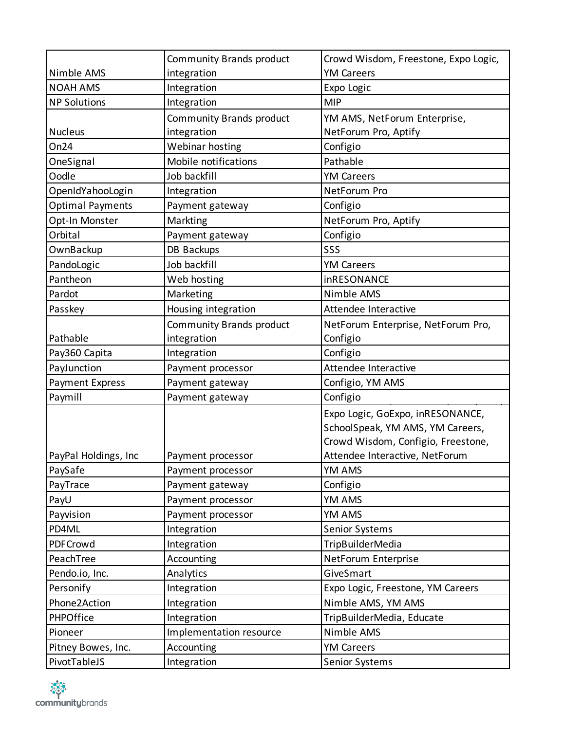|                         | Community Brands product | Crowd Wisdom, Freestone, Expo Logic, |
|-------------------------|--------------------------|--------------------------------------|
| Nimble AMS              | integration              | <b>YM Careers</b>                    |
| <b>NOAH AMS</b>         | Integration              | Expo Logic                           |
| <b>NP Solutions</b>     | Integration              | <b>MIP</b>                           |
|                         | Community Brands product | YM AMS, NetForum Enterprise,         |
| <b>Nucleus</b>          | integration              | NetForum Pro, Aptify                 |
| On24                    | Webinar hosting          | Configio                             |
| OneSignal               | Mobile notifications     | Pathable                             |
| Oodle                   | Job backfill             | <b>YM Careers</b>                    |
| OpenIdYahooLogin        | Integration              | NetForum Pro                         |
| <b>Optimal Payments</b> | Payment gateway          | Configio                             |
| Opt-In Monster          | Markting                 | NetForum Pro, Aptify                 |
| Orbital                 | Payment gateway          | Configio                             |
| OwnBackup               | DB Backups               | SSS                                  |
| PandoLogic              | Job backfill             | <b>YM Careers</b>                    |
| Pantheon                | Web hosting              | inRESONANCE                          |
| Pardot                  | Marketing                | Nimble AMS                           |
| Passkey                 | Housing integration      | Attendee Interactive                 |
|                         | Community Brands product | NetForum Enterprise, NetForum Pro,   |
| Pathable                | integration              | Configio                             |
| Pay360 Capita           | Integration              | Configio                             |
| PayJunction             | Payment processor        | Attendee Interactive                 |
| Payment Express         | Payment gateway          | Configio, YM AMS                     |
| Paymill                 | Payment gateway          | Configio                             |
|                         |                          | Expo Logic, GoExpo, inRESONANCE,     |
|                         |                          | SchoolSpeak, YM AMS, YM Careers,     |
|                         |                          | Crowd Wisdom, Configio, Freestone,   |
| PayPal Holdings, Inc.   | Payment processor        | Attendee Interactive, NetForum       |
| PaySafe                 | Payment processor        | YM AMS                               |
| PayTrace                | Payment gateway          | Configio                             |
| PayU                    | Payment processor        | YM AMS                               |
| Payvision               | Payment processor        | YM AMS                               |
| PD4ML                   | Integration              | Senior Systems                       |
| PDFCrowd                | Integration              | TripBuilderMedia                     |
| PeachTree               | Accounting               | NetForum Enterprise                  |
| Pendo.io, Inc.          | Analytics                | GiveSmart                            |
| Personify               | Integration              | Expo Logic, Freestone, YM Careers    |
| Phone2Action            | Integration              | Nimble AMS, YM AMS                   |
| PHPOffice               | Integration              | TripBuilderMedia, Educate            |
| Pioneer                 | Implementation resource  | Nimble AMS                           |
| Pitney Bowes, Inc.      | Accounting               | <b>YM Careers</b>                    |
| PivotTableJS            | Integration              | Senior Systems                       |

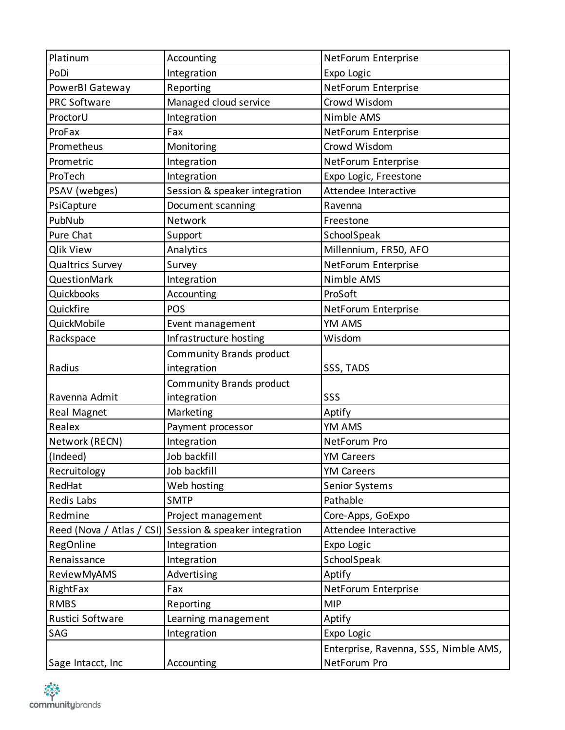| Platinum                | Accounting                                              | NetForum Enterprise                   |
|-------------------------|---------------------------------------------------------|---------------------------------------|
| PoDi                    | Integration                                             | Expo Logic                            |
| PowerBI Gateway         | Reporting                                               | NetForum Enterprise                   |
| <b>PRC Software</b>     | Managed cloud service                                   | Crowd Wisdom                          |
| ProctorU                | Integration                                             | Nimble AMS                            |
| ProFax                  | Fax                                                     | NetForum Enterprise                   |
| Prometheus              | Monitoring                                              | Crowd Wisdom                          |
| Prometric               | Integration                                             | NetForum Enterprise                   |
| ProTech                 | Integration                                             | Expo Logic, Freestone                 |
| PSAV (webges)           | Session & speaker integration                           | Attendee Interactive                  |
| PsiCapture              | Document scanning                                       | Ravenna                               |
| PubNub                  | Network                                                 | Freestone                             |
| Pure Chat               | Support                                                 | SchoolSpeak                           |
| <b>Qlik View</b>        | Analytics                                               | Millennium, FR50, AFO                 |
| <b>Qualtrics Survey</b> | Survey                                                  | NetForum Enterprise                   |
| QuestionMark            | Integration                                             | Nimble AMS                            |
| Quickbooks              | Accounting                                              | ProSoft                               |
| Quickfire               | POS                                                     | NetForum Enterprise                   |
| QuickMobile             | Event management                                        | YM AMS                                |
| Rackspace               | Infrastructure hosting                                  | Wisdom                                |
|                         | Community Brands product                                |                                       |
| Radius                  | integration                                             | SSS, TADS                             |
|                         | Community Brands product                                |                                       |
| Ravenna Admit           | integration                                             | SSS                                   |
| Real Magnet             | Marketing                                               | Aptify                                |
| Realex                  | Payment processor                                       | YM AMS                                |
| Network (RECN)          | Integration                                             | NetForum Pro                          |
| (Indeed)                | Job backfill                                            | <b>YM Careers</b>                     |
| Recruitology            | Job backfill                                            | <b>YM Careers</b>                     |
| RedHat                  | Web hosting                                             | <b>Senior Systems</b>                 |
| Redis Labs              | <b>SMTP</b>                                             | Pathable                              |
| Redmine                 | Project management                                      | Core-Apps, GoExpo                     |
|                         | Reed (Nova / Atlas / CSI) Session & speaker integration | Attendee Interactive                  |
| RegOnline               | Integration                                             | Expo Logic                            |
| Renaissance             | Integration                                             | SchoolSpeak                           |
| ReviewMyAMS             | Advertising                                             | Aptify                                |
| RightFax                | Fax                                                     | NetForum Enterprise                   |
| <b>RMBS</b>             | Reporting                                               | <b>MIP</b>                            |
| Rustici Software        | Learning management                                     | Aptify                                |
| SAG                     | Integration                                             | Expo Logic                            |
|                         |                                                         | Enterprise, Ravenna, SSS, Nimble AMS, |
| Sage Intacct, Inc.      | Accounting                                              | NetForum Pro                          |

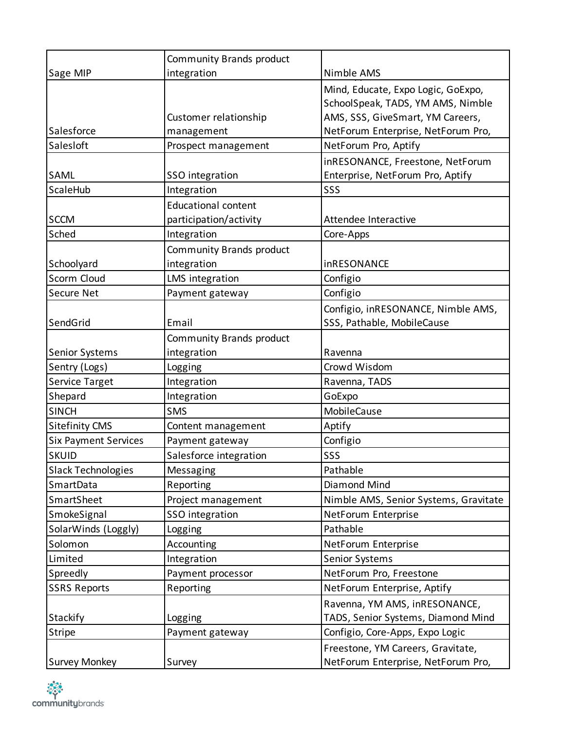|                             | Community Brands product   |                                       |
|-----------------------------|----------------------------|---------------------------------------|
| Sage MIP                    | integration                | Nimble AMS                            |
|                             |                            | Mind, Educate, Expo Logic, GoExpo,    |
|                             |                            | SchoolSpeak, TADS, YM AMS, Nimble     |
|                             | Customer relationship      | AMS, SSS, GiveSmart, YM Careers,      |
| Salesforce                  | management                 | NetForum Enterprise, NetForum Pro,    |
| Salesloft                   | Prospect management        | NetForum Pro, Aptify                  |
|                             |                            | inRESONANCE, Freestone, NetForum      |
| SAML                        | SSO integration            | Enterprise, NetForum Pro, Aptify      |
| ScaleHub                    | Integration                | SSS                                   |
|                             | <b>Educational content</b> |                                       |
| <b>SCCM</b>                 | participation/activity     | Attendee Interactive                  |
| Sched                       | Integration                | Core-Apps                             |
|                             | Community Brands product   |                                       |
| Schoolyard                  | integration                | <b>inRESONANCE</b>                    |
| Scorm Cloud                 | LMS integration            | Configio                              |
| Secure Net                  | Payment gateway            | Configio                              |
|                             |                            | Configio, inRESONANCE, Nimble AMS,    |
| SendGrid                    | Email                      | SSS, Pathable, MobileCause            |
|                             | Community Brands product   |                                       |
| Senior Systems              | integration                | Ravenna                               |
| Sentry (Logs)               | Logging                    | Crowd Wisdom                          |
| Service Target              | Integration                | Ravenna, TADS                         |
| Shepard                     | Integration                | GoExpo                                |
| <b>SINCH</b>                | <b>SMS</b>                 | MobileCause                           |
| <b>Sitefinity CMS</b>       | Content management         | Aptify                                |
| <b>Six Payment Services</b> | Payment gateway            | Configio                              |
| <b>SKUID</b>                | Salesforce integration     | SSS                                   |
| <b>Slack Technologies</b>   | Messaging                  | Pathable                              |
| SmartData                   | Reporting                  | Diamond Mind                          |
| SmartSheet                  | Project management         | Nimble AMS, Senior Systems, Gravitate |
| SmokeSignal                 | SSO integration            | NetForum Enterprise                   |
| SolarWinds (Loggly)         | Logging                    | Pathable                              |
| Solomon                     | Accounting                 | NetForum Enterprise                   |
| Limited                     | Integration                | <b>Senior Systems</b>                 |
| Spreedly                    | Payment processor          | NetForum Pro, Freestone               |
| <b>SSRS Reports</b>         | Reporting                  | NetForum Enterprise, Aptify           |
|                             |                            | Ravenna, YM AMS, inRESONANCE,         |
| <b>Stackify</b>             | Logging                    | TADS, Senior Systems, Diamond Mind    |
| <b>Stripe</b>               | Payment gateway            | Configio, Core-Apps, Expo Logic       |
|                             |                            | Freestone, YM Careers, Gravitate,     |
| <b>Survey Monkey</b>        | Survey                     | NetForum Enterprise, NetForum Pro,    |

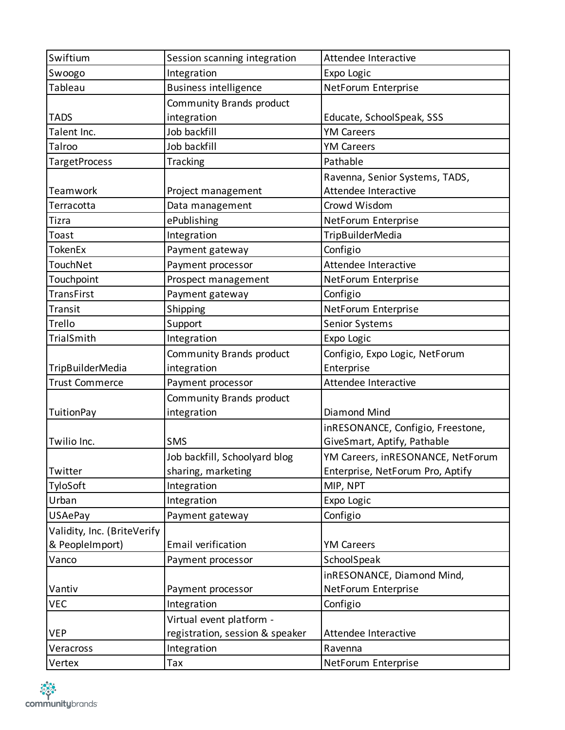| Swiftium                    | Session scanning integration    | Attendee Interactive              |
|-----------------------------|---------------------------------|-----------------------------------|
| Swoogo                      | Integration                     | Expo Logic                        |
| Tableau                     | <b>Business intelligence</b>    | NetForum Enterprise               |
|                             | Community Brands product        |                                   |
| <b>TADS</b>                 | integration                     | Educate, SchoolSpeak, SSS         |
| Talent Inc.                 | Job backfill                    | <b>YM Careers</b>                 |
| Talroo                      | Job backfill                    | <b>YM Careers</b>                 |
| <b>TargetProcess</b>        | Tracking                        | Pathable                          |
|                             |                                 | Ravenna, Senior Systems, TADS,    |
| Teamwork                    | Project management              | Attendee Interactive              |
| Terracotta                  | Data management                 | Crowd Wisdom                      |
| Tizra                       | ePublishing                     | NetForum Enterprise               |
| Toast                       | Integration                     | <b>TripBuilderMedia</b>           |
| <b>TokenEx</b>              | Payment gateway                 | Configio                          |
| TouchNet                    | Payment processor               | Attendee Interactive              |
| Touchpoint                  | Prospect management             | NetForum Enterprise               |
| <b>TransFirst</b>           | Payment gateway                 | Configio                          |
| Transit                     | Shipping                        | NetForum Enterprise               |
| Trello                      | Support                         | Senior Systems                    |
| TrialSmith                  | Integration                     | Expo Logic                        |
|                             | Community Brands product        | Configio, Expo Logic, NetForum    |
| TripBuilderMedia            | integration                     | Enterprise                        |
| <b>Trust Commerce</b>       | Payment processor               | Attendee Interactive              |
|                             | Community Brands product        |                                   |
| <b>TuitionPay</b>           | integration                     | Diamond Mind                      |
|                             |                                 | inRESONANCE, Configio, Freestone, |
| Twilio Inc.                 | <b>SMS</b>                      | GiveSmart, Aptify, Pathable       |
|                             | Job backfill, Schoolyard blog   | YM Careers, inRESONANCE, NetForum |
| Twitter                     | sharing, marketing              | Enterprise, NetForum Pro, Aptify  |
| TyloSoft                    | Integration                     | MIP, NPT                          |
| Urban                       | Integration                     | Expo Logic                        |
| <b>USAePay</b>              | Payment gateway                 | Configio                          |
| Validity, Inc. (BriteVerify |                                 |                                   |
| & PeopleImport)             | Email verification              | <b>YM Careers</b>                 |
| Vanco                       | Payment processor               | SchoolSpeak                       |
|                             |                                 | inRESONANCE, Diamond Mind,        |
| Vantiv                      | Payment processor               | NetForum Enterprise               |
| <b>VEC</b>                  | Integration                     | Configio                          |
|                             | Virtual event platform -        |                                   |
| <b>VEP</b>                  | registration, session & speaker | Attendee Interactive              |
| Veracross                   | Integration                     | Ravenna                           |
| Vertex                      | Tax                             | NetForum Enterprise               |